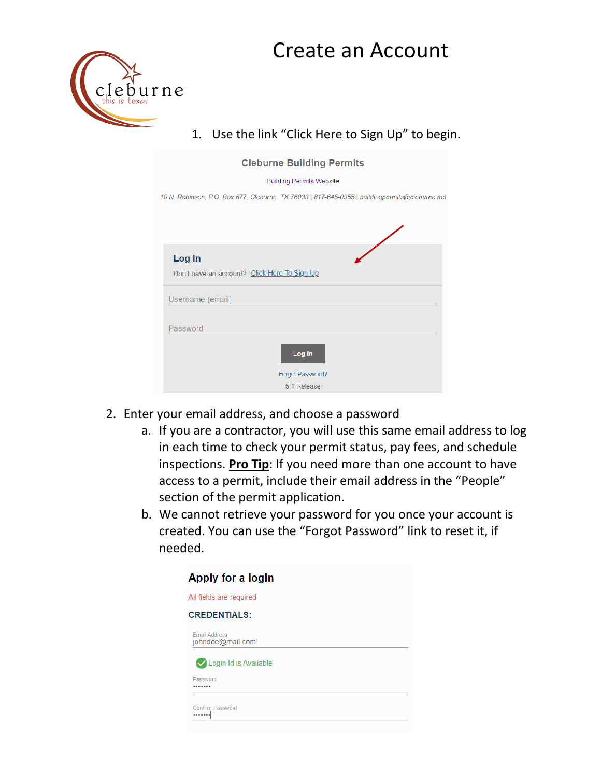## Create an Account



## 1. Use the link "Click Here to Sign Up" to begin.

- 2. Enter your email address, and choose a password
	- a. If you are a contractor, you will use this same email address to log in each time to check your permit status, pay fees, and schedule inspections. **Pro Tip**: If you need more than one account to have access to a permit, include their email address in the "People" section of the permit application.
	- b. We cannot retrieve your password for you once your account is created. You can use the "Forgot Password" link to reset it, if needed.

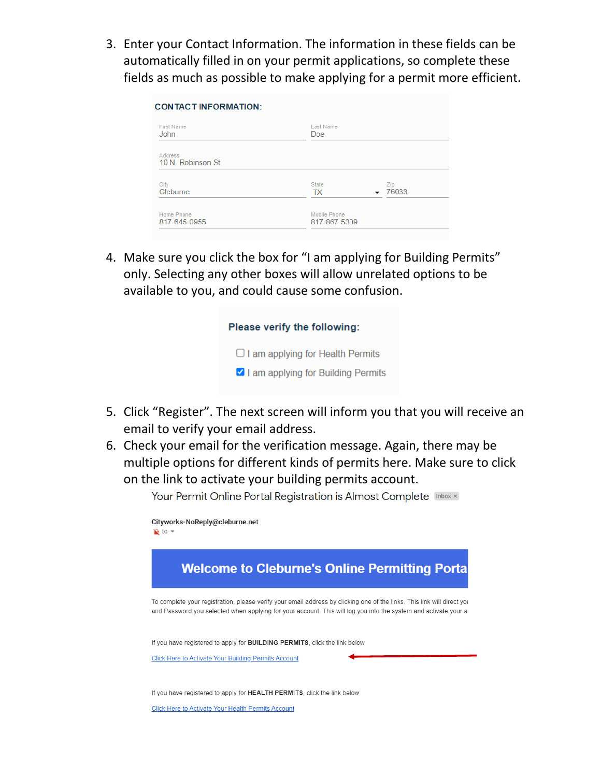3. Enter your Contact Information. The information in these fields can be automatically filled in on your permit applications, so complete these fields as much as possible to make applying for a permit more efficient.

| <b>First Name</b><br><b>John</b> | Last Name<br>Doe          |              |  |
|----------------------------------|---------------------------|--------------|--|
| Address<br>10 N. Robinson St     |                           |              |  |
| City<br>Cleburne                 | <b>State</b><br><b>TX</b> | Zip<br>76033 |  |
| Home Phone<br>817-645-0955       | Mobile Phone              | 817-867-5309 |  |

4. Make sure you click the box for "I am applying for Building Permits" only. Selecting any other boxes will allow unrelated options to be available to you, and could cause some confusion.

| Please verify the following:            |  |
|-----------------------------------------|--|
| $\Box$ I am applying for Health Permits |  |
| I am applying for Building Permits      |  |

- 5. Click "Register". The next screen will inform you that you will receive an email to verify your email address.
- 6. Check your email for the verification message. Again, there may be multiple options for different kinds of permits here. Make sure to click on the link to activate your building permits account.

Your Permit Online Portal Registration is Almost Complete Inbox x